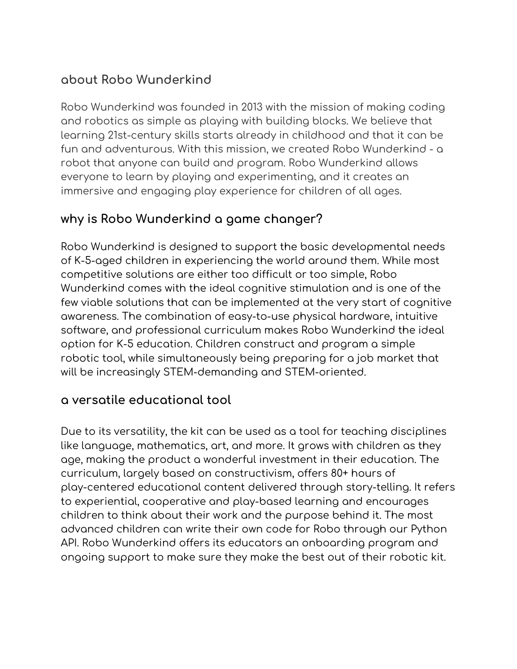## **about Robo Wunderkind**

Robo Wunderkind was founded in 2013 with the mission of making coding and robotics as simple as playing with building blocks. We believe that learning 21st-century skills starts already in childhood and that it can be fun and adventurous. With this mission, we created Robo Wunderkind - a robot that anyone can build and program. Robo Wunderkind allows everyone to learn by playing and experimenting, and it creates an immersive and engaging play experience for children of all ages.

## **why is Robo Wunderkind a game changer?**

Robo Wunderkind is designed to support the basic developmental needs of K-5-aged children in experiencing the world around them. While most competitive solutions are either too difficult or too simple, Robo Wunderkind comes with the ideal cognitive stimulation and is one of the few viable solutions that can be implemented at the very start of cognitive awareness. The combination of easy-to-use physical hardware, intuitive software, and professional curriculum makes Robo Wunderkind the ideal option for K-5 education. Children construct and program a simple robotic tool, while simultaneously being preparing for a job market that will be increasingly STEM-demanding and STEM-oriented.

## **a versatile educational tool**

Due to its versatility, the kit can be used as a tool for teaching disciplines like language, mathematics, art, and more. It grows with children as they age, making the product a wonderful investment in their education. The curriculum, largely based on constructivism, offers 80+ hours of play-centered educational content delivered through story-telling. It refers to experiential, cooperative and play-based learning and encourages children to think about their work and the purpose behind it. The most advanced children can write their own code for Robo through our Python API. Robo Wunderkind offers its educators an onboarding program and ongoing support to make sure they make the best out of their robotic kit.